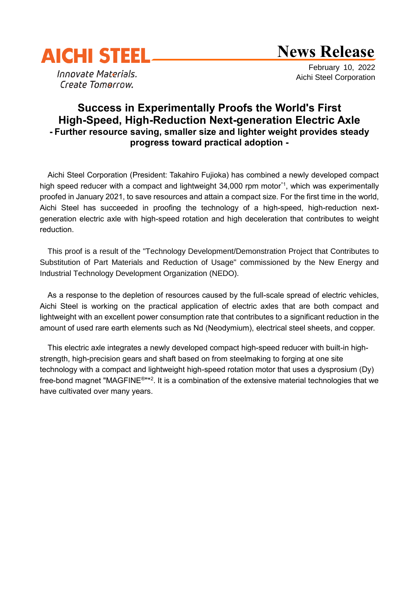

# **News Release**

Innovate Materials. Create Tomorrow.

 February 10, 2022 Aichi Steel Corporation

# **Success in Experimentally Proofs the World's First High-Speed, High-Reduction Next-generation Electric Axle - Further resource saving, smaller size and lighter weight provides steady progress toward practical adoption -**

Aichi Steel Corporation (President: Takahiro Fujioka) has combined a newly developed compact high speed reducer with a compact and lightweight 34,000 rpm motor<sup>\*1</sup>, which was experimentally proofed in January 2021, to save resources and attain a compact size. For the first time in the world, Aichi Steel has succeeded in proofing the technology of a high-speed, high-reduction nextgeneration electric axle with high-speed rotation and high deceleration that contributes to weight reduction.

This proof is a result of the "Technology Development/Demonstration Project that Contributes to Substitution of Part Materials and Reduction of Usage" commissioned by the New Energy and Industrial Technology Development Organization (NEDO).

As a response to the depletion of resources caused by the full-scale spread of electric vehicles, Aichi Steel is working on the practical application of electric axles that are both compact and lightweight with an excellent power consumption rate that contributes to a significant reduction in the amount of used rare earth elements such as Nd (Neodymium), electrical steel sheets, and copper.

This electric axle integrates a newly developed compact high-speed reducer with built-in highstrength, high-precision gears and shaft based on from steelmaking to forging at one site technology with a compact and lightweight high-speed rotation motor that uses a dysprosium (Dy) free-bond magnet "MAGFINE®"\*2. It is a combination of the extensive material technologies that we have cultivated over many years.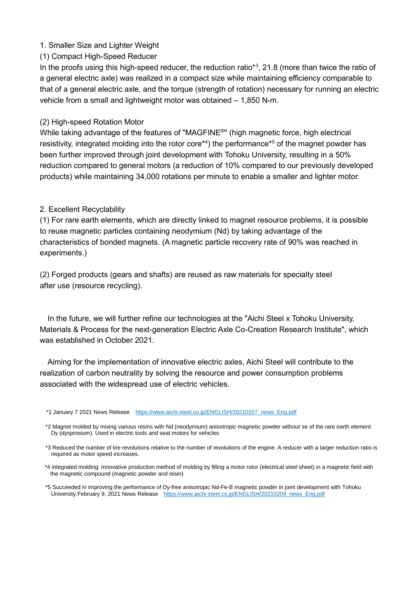### 1. Smaller Size and Lighter Weight

### (1) Compact High-Speed Reducer

In the proofs using this high-speed reducer, the reduction ratio<sup>\*3</sup>, 21.8 (more than twice the ratio of a general electric axle) was realized in a compact size while maintaining efficiency comparable to that of a general electric axle, and the torque (strength of rotation) necessary for running an electric vehicle from a small and lightweight motor was obtained – 1,850 N-m.

#### (2) High-speed Rotation Motor

While taking advantage of the features of "MAGFINE®" (high magnetic force, high electrical resistivity, integrated molding into the rotor core<sup>\*4</sup>) the performance<sup>\*5</sup> of the magnet powder has been further improved through joint development with Tohoku University, resulting in a 50% reduction compared to general motors (a reduction of 10% compared to our previously developed products) while maintaining 34,000 rotations per minute to enable a smaller and lighter motor.

## 2. Excellent Recyclability

(1) For rare earth elements, which are directly linked to magnet resource problems, it is possible to reuse magnetic particles containing neodymium (Nd) by taking advantage of the characteristics of bonded magnets. (A magnetic particle recovery rate of 90% was reached in experiments.)

(2) Forged products (gears and shafts) are reused as raw materials for specialty steel after use (resource recycling).

In the future, we will further refine our technologies at the "Aichi Steel x Tohoku University, Materials & Process for the next-generation Electric Axle Co-Creation Research Institute", which was established in October 2021.

Aiming for the implementation of innovative electric axles, Aichi Steel will contribute to the realization of carbon neutrality by solving the resource and power consumption problems associated with the widespread use of electric vehicles.

<sup>\*1</sup> January 7 2021 News Release [https://www.aichi-steel.co.jp/ENGLISH/20210107\\_news\\_Eng.pdf](https://www.aichi-steel.co.jp/ENGLISH/20210107_news_Eng.pdf)

<sup>\*2</sup> Magnet molded by mixing various resins with Nd (neodymium) anisotropic magnetic powder without se of the rare earth element Dy (dysprosium). Used in electric tools and seat motors for vehicles

<sup>\*3</sup> Reduced the number of tire revolutions relative to the number of revolutions of the engine. A reducer with a larger reduction ratio is required as motor speed increases. <sup>4</sup>

<sup>\*4</sup> integrated molding: Innovative production method of molding by filling a motor rotor (electrical steel sheet) in a magnetic field with the magnetic compound (magnetic powder and resin)

<sup>\*5</sup> Succeeded in improving the performance of Dy-free anisotropic Nd-Fe-B magnetic powder in joint development with Tohoku University.February 9, 2021 News Release [https://www.aichi-steel.co.jp/ENGLISH/20210209\\_news\\_Eng.pdf](https://www.aichi-steel.co.jp/ENGLISH/20210209_news_Eng.pdf)